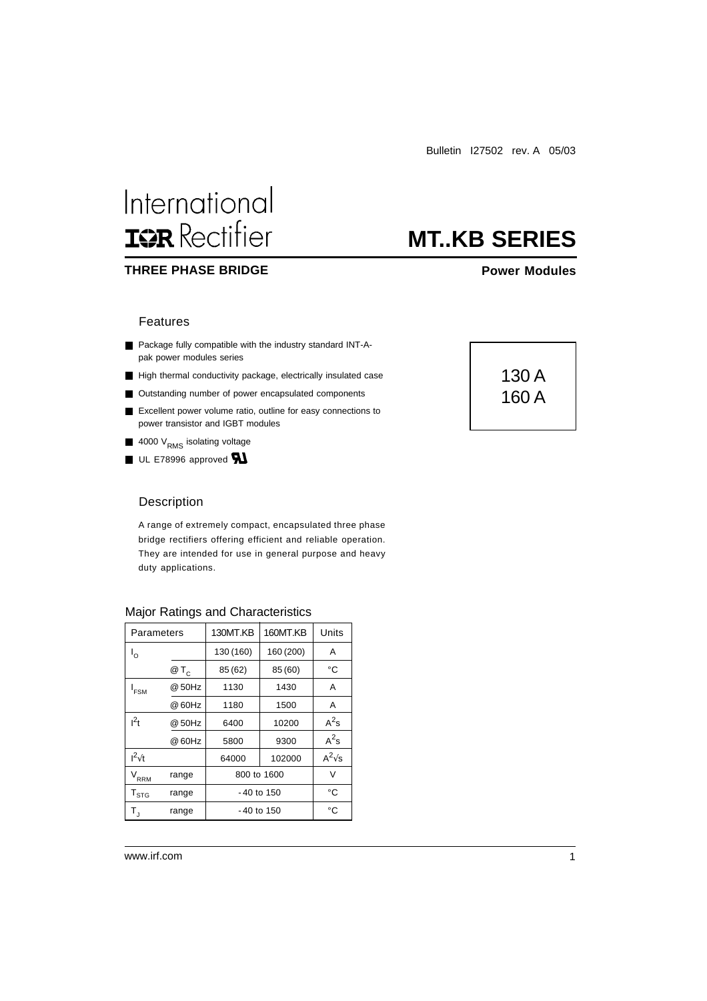**MT..KB SERIES**

# International **ISR** Rectifier

## **THREE PHASE BRIDGE**

# **Power Modules**

## Features

- Package fully compatible with the industry standard INT-Apak power modules series
- High thermal conductivity package, electrically insulated case
- Outstanding number of power encapsulated components
- Excellent power volume ratio, outline for easy connections to power transistor and IGBT modules
- $\blacksquare$  4000  $\mathsf{V}_{\mathsf{RMS}}$  isolating voltage
- $\blacksquare$  UL E78996 approved  $\blacksquare$

#### Description

A range of extremely compact, encapsulated three phase bridge rectifiers offering efficient and reliable operation. They are intended for use in general purpose and heavy duty applications.

### Major Ratings and Characteristics

| Parameters                |                 | 130MT.KB     | 160MT.KB  | Units         |
|---------------------------|-----------------|--------------|-----------|---------------|
| $\mathsf{I}_\mathsf{O}$   |                 | 130 (160)    | 160 (200) | A             |
|                           | @T <sub>C</sub> | 85 (62)      | 85 (60)   | °C            |
| <b>FSM</b>                | @ 50Hz          | 1130         | 1430      | A             |
|                           | @ 60Hz          | 1180         | 1500      | Α             |
| $I^2t$                    | @50Hz           | 6400         | 10200     | $A^2$ s       |
|                           | @ 60Hz          | 5800         | 9300      | $A^2$ s       |
| $1^2\sqrt{t}$             |                 | 64000        | 102000    | $A^2\sqrt{s}$ |
| $V_{RRM}$                 | range           | 800 to 1600  | v         |               |
| $\mathsf{T}_{\text{STG}}$ | range           | -40 to 150   | °C        |               |
| Т,                        | range           | $-40$ to 150 | °۲        |               |

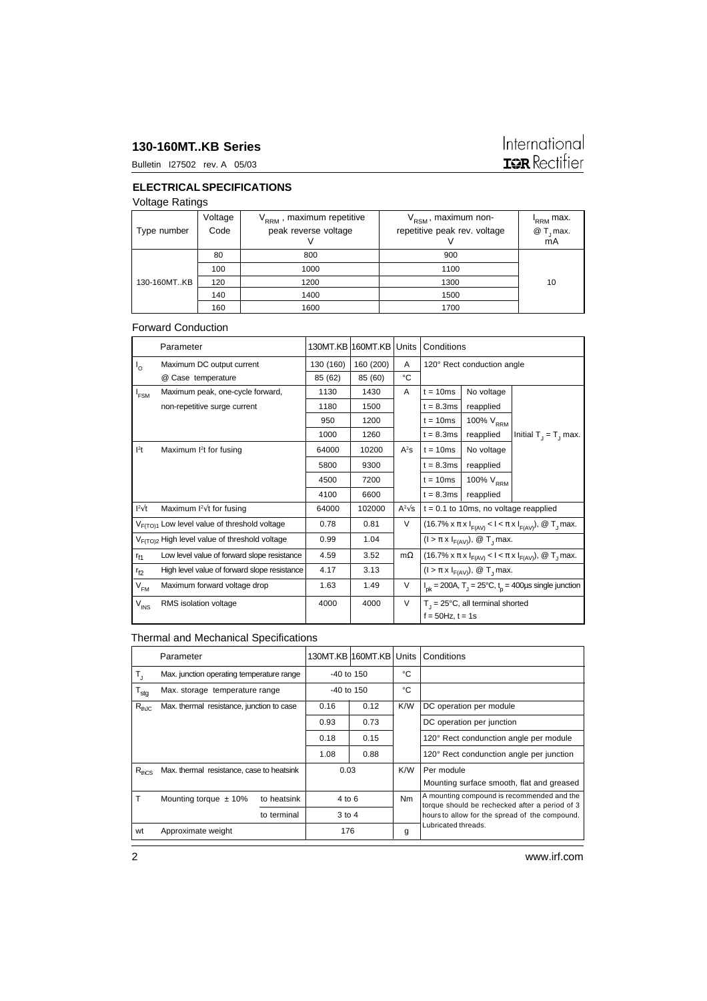### **ELECTRICAL SPECIFICATIONS**

# Voltage Ratings

|             | Voltage | V <sub>RRM</sub> , maximum repetitive | V <sub>RSM</sub> , maximum non- | <sub>RRM</sub> max. |
|-------------|---------|---------------------------------------|---------------------------------|---------------------|
| Type number | Code    | peak reverse voltage                  | repetitive peak rev. voltage    | @ T, max.           |
|             |         |                                       |                                 | mA                  |
| 130-160MTKB | 80      | 800                                   | 900                             |                     |
|             | 100     | 1000                                  | 1100                            |                     |
|             | 120     | 1200                                  | 1300                            | 10                  |
|             | 140     | 1400                                  | 1500                            |                     |
|             | 160     | 1600                                  | 1700                            |                     |

#### Forward Conduction

| Parameter                                                |                                     | 130MT.KB | 160MT.KB Units |               | Conditions                                 |                                                      |                                                                                          |
|----------------------------------------------------------|-------------------------------------|----------|----------------|---------------|--------------------------------------------|------------------------------------------------------|------------------------------------------------------------------------------------------|
| $I_{\Omega}$                                             | Maximum DC output current           |          | 160 (200)      | A             | 120° Rect conduction angle                 |                                                      |                                                                                          |
|                                                          | @ Case temperature                  |          | 85 (60)        | °C            |                                            |                                                      |                                                                                          |
| <sup>I</sup> FSM                                         | Maximum peak, one-cycle forward,    | 1130     | 1430           | A             | $t = 10ms$                                 | No voltage                                           |                                                                                          |
|                                                          | non-repetitive surge current        | 1180     | 1500           |               | $t = 8.3ms$                                | reapplied                                            |                                                                                          |
|                                                          |                                     | 950      | 1200           |               | $t = 10ms$                                 | 100% V <sub>RRM</sub>                                |                                                                                          |
|                                                          |                                     | 1000     | 1260           |               | $t = 8.3ms$                                | reapplied                                            | Initial T <sub>1</sub> = T <sub>1</sub> max.                                             |
| 1 <sup>2</sup> t                                         | Maximum I <sup>2</sup> t for fusing | 64000    | 10200          | $A^2S$        | $t = 10ms$                                 | No voltage                                           |                                                                                          |
|                                                          |                                     | 5800     | 9300           |               | $t = 8.3ms$                                | reapplied                                            |                                                                                          |
|                                                          |                                     | 4500     | 7200           |               | $t = 10ms$                                 | 100% V <sub>RRM</sub>                                |                                                                                          |
|                                                          |                                     | 4100     | 6600           |               | $t = 8.3ms$                                | reapplied                                            |                                                                                          |
| $12\sqrt{t}$                                             | Maximum $I^2\sqrt{t}$ for fusing    | 64000    | 102000         | $A^2\sqrt{s}$ |                                            | $t = 0.1$ to 10ms, no voltage reapplied              |                                                                                          |
| $V_{F(TO)1}$ Low level value of threshold voltage        |                                     | 0.78     | 0.81           | V             |                                            |                                                      | $(16.7\% \times \pi \times I_{F(AV)} < I < \pi \times I_{F(AV)}), \text{ @ } T_{J}$ max. |
| $V_{F(TO)2}$ High level value of threshold voltage       |                                     | 0.99     | 1.04           |               |                                            | $(I > \pi \times I_{F(AV)})$ , @ T <sub>1</sub> max. |                                                                                          |
| Low level value of forward slope resistance<br>$r_{f1}$  |                                     | 4.59     | 3.52           | $m\Omega$     |                                            |                                                      | $(16.7\% \times \pi \times I_{F(AV)} < I < \pi \times I_{F(AV)})$ , @ T max.             |
| High level value of forward slope resistance<br>$r_{f2}$ |                                     | 4.17     | 3.13           |               |                                            | $(I > \pi \times I_{F(AV)})$ , @ T <sub>1</sub> max. |                                                                                          |
| $V_{FM}$<br>Maximum forward voltage drop                 |                                     | 1.63     | 1.49           | V             |                                            |                                                      | $I_{\text{pk}}$ = 200A, T <sub>J</sub> = 25°C, t <sub>p</sub> = 400µs single junction    |
| $V_{INS}$                                                | RMS isolation voltage               |          | 4000           | V             | $T_1 = 25^{\circ}C$ , all terminal shorted |                                                      |                                                                                          |
|                                                          |                                     |          |                |               | $f = 50$ Hz, $t = 1s$                      |                                                      |                                                                                          |

# Thermal and Mechanical Specifications

|                             | Parameter                                 |             |            | 130MT.KB   160MT.KB | Units          | Conditions                                                                                   |  |
|-----------------------------|-------------------------------------------|-------------|------------|---------------------|----------------|----------------------------------------------------------------------------------------------|--|
| т,                          | Max. junction operating temperature range |             | -40 to 150 |                     | °C             |                                                                                              |  |
| $\mathsf{T}_{\mathsf{stg}}$ | Max. storage temperature range            |             | -40 to 150 |                     | °C             |                                                                                              |  |
| $R_{th,IC}$                 | Max. thermal resistance, junction to case |             | 0.16       | 0.12                | K/W            | DC operation per module                                                                      |  |
|                             |                                           |             | 0.93       | 0.73                |                | DC operation per junction                                                                    |  |
|                             |                                           |             | 0.18       | 0.15                |                | 120° Rect condunction angle per module                                                       |  |
|                             |                                           |             | 1.08       | 0.88                |                | 120° Rect condunction angle per junction                                                     |  |
| $R_{hCS}$                   | Max. thermal resistance, case to heatsink |             | 0.03       |                     | K/W            | Per module                                                                                   |  |
|                             |                                           |             |            |                     |                | Mounting surface smooth, flat and greased                                                    |  |
| т                           | Mounting torque $\pm$ 10%                 | to heatsink | 4 to 6     |                     | N <sub>m</sub> | A mounting compound is recommended and the<br>torque should be rechecked after a period of 3 |  |
|                             |                                           | to terminal | $3$ to $4$ |                     |                | hours to allow for the spread of the compound.                                               |  |
| wt                          | Approximate weight                        |             | 176        |                     | g              | Lubricated threads.                                                                          |  |

2 www.irf.com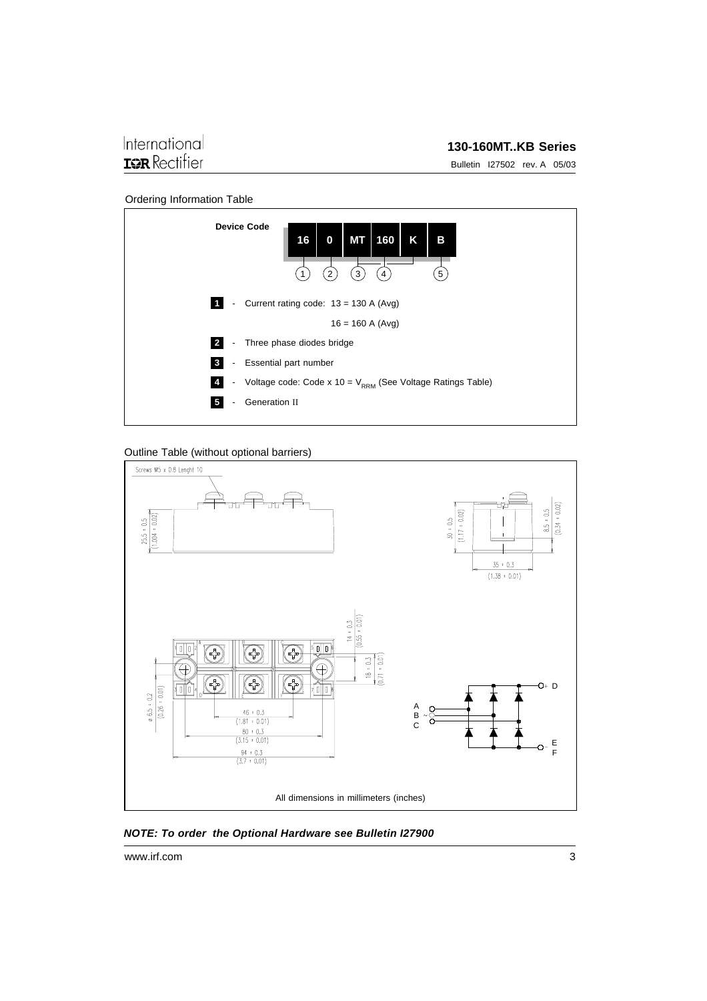Bulletin I27502 rev. A 05/03

#### Ordering Information Table



Outline Table (without optional barriers)





www.irf.com 3